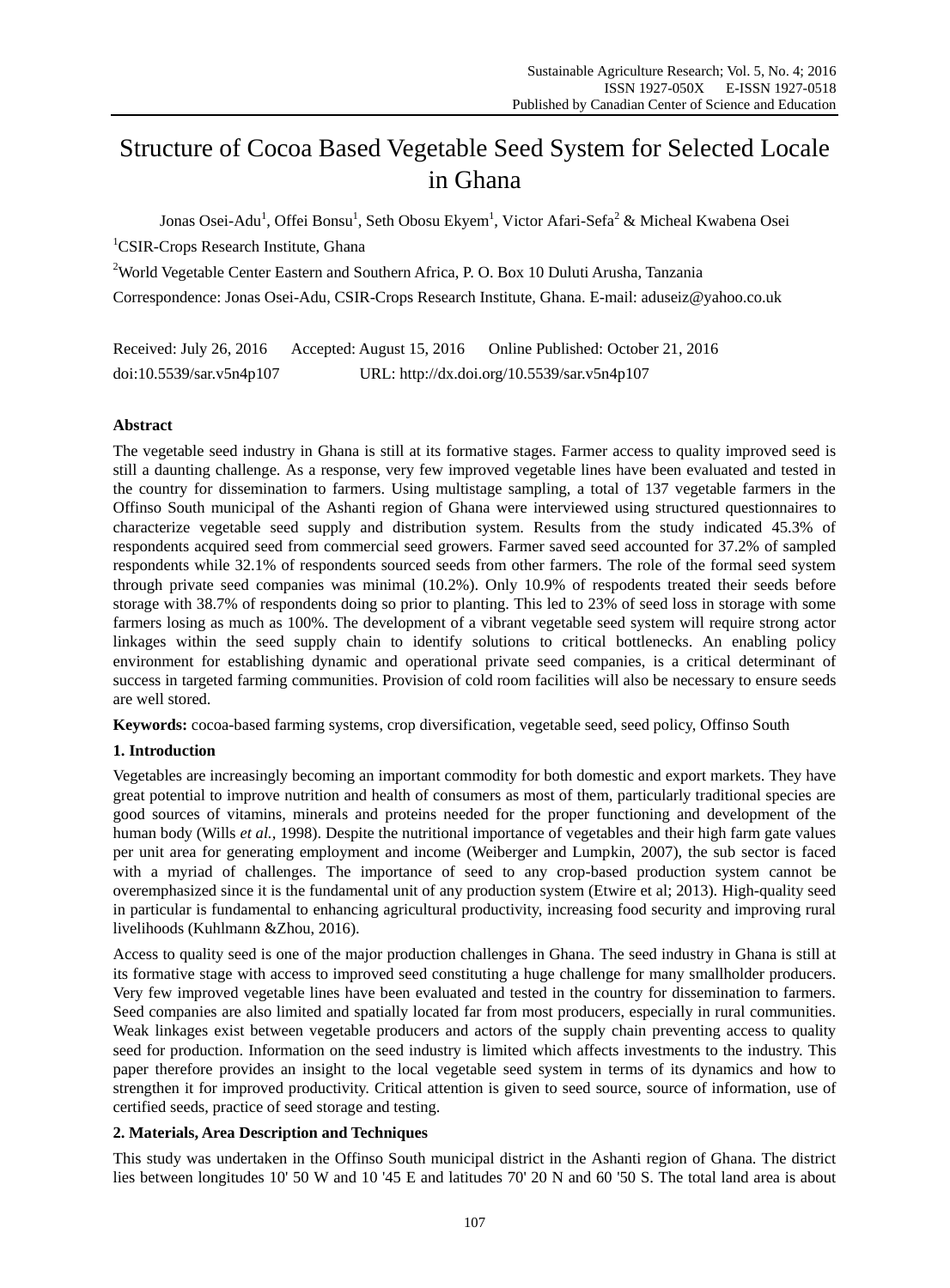# Structure of Cocoa Based Vegetable Seed System for Selected Locale in Ghana

Jonas Osei-Adu<sup>1</sup>, Offei Bonsu<sup>1</sup>, Seth Obosu Ekyem<sup>1</sup>, Victor Afari-Sefa<sup>2</sup> & Micheal Kwabena Osei

<sup>1</sup>CSIR-Crops Research Institute, Ghana

<sup>2</sup>World Vegetable Center Eastern and Southern Africa, P. O. Box 10 Duluti Arusha, Tanzania

Correspondence: Jonas Osei-Adu, CSIR-Crops Research Institute, Ghana. E-mail: aduseiz@yahoo.co.uk

Received: July 26, 2016 Accepted: August 15, 2016 Online Published: October 21, 2016 doi:10.5539/sar.v5n4p107 URL: http://dx.doi.org/10.5539/sar.v5n4p107

## **Abstract**

The vegetable seed industry in Ghana is still at its formative stages. Farmer access to quality improved seed is still a daunting challenge. As a response, very few improved vegetable lines have been evaluated and tested in the country for dissemination to farmers. Using multistage sampling, a total of 137 vegetable farmers in the Offinso South municipal of the Ashanti region of Ghana were interviewed using structured questionnaires to characterize vegetable seed supply and distribution system. Results from the study indicated 45.3% of respondents acquired seed from commercial seed growers. Farmer saved seed accounted for 37.2% of sampled respondents while 32.1% of respondents sourced seeds from other farmers. The role of the formal seed system through private seed companies was minimal (10.2%). Only 10.9% of respodents treated their seeds before storage with 38.7% of respondents doing so prior to planting. This led to 23% of seed loss in storage with some farmers losing as much as 100%. The development of a vibrant vegetable seed system will require strong actor linkages within the seed supply chain to identify solutions to critical bottlenecks. An enabling policy environment for establishing dynamic and operational private seed companies, is a critical determinant of success in targeted farming communities. Provision of cold room facilities will also be necessary to ensure seeds are well stored.

**Keywords:** cocoa-based farming systems, crop diversification, vegetable seed, seed policy, Offinso South

## **1. Introduction**

Vegetables are increasingly becoming an important commodity for both domestic and export markets. They have great potential to improve nutrition and health of consumers as most of them, particularly traditional species are good sources of vitamins, minerals and proteins needed for the proper functioning and development of the human body (Wills *et al.,* 1998). Despite the nutritional importance of vegetables and their high farm gate values per unit area for generating employment and income (Weiberger and Lumpkin, 2007), the sub sector is faced with a myriad of challenges. The importance of seed to any crop-based production system cannot be overemphasized since it is the fundamental unit of any production system (Etwire et al; 2013). High-quality seed in particular is fundamental to enhancing agricultural productivity, increasing food security and improving rural livelihoods (Kuhlmann &Zhou, 2016).

Access to quality seed is one of the major production challenges in Ghana. The seed industry in Ghana is still at its formative stage with access to improved seed constituting a huge challenge for many smallholder producers. Very few improved vegetable lines have been evaluated and tested in the country for dissemination to farmers. Seed companies are also limited and spatially located far from most producers, especially in rural communities. Weak linkages exist between vegetable producers and actors of the supply chain preventing access to quality seed for production. Information on the seed industry is limited which affects investments to the industry. This paper therefore provides an insight to the local vegetable seed system in terms of its dynamics and how to strengthen it for improved productivity. Critical attention is given to seed source, source of information, use of certified seeds, practice of seed storage and testing.

## **2. Materials, Area Description and Techniques**

This study was undertaken in the Offinso South municipal district in the Ashanti region of Ghana. The district lies between longitudes 10' 50 W and 10 '45 E and latitudes 70' 20 N and 60 '50 S. The total land area is about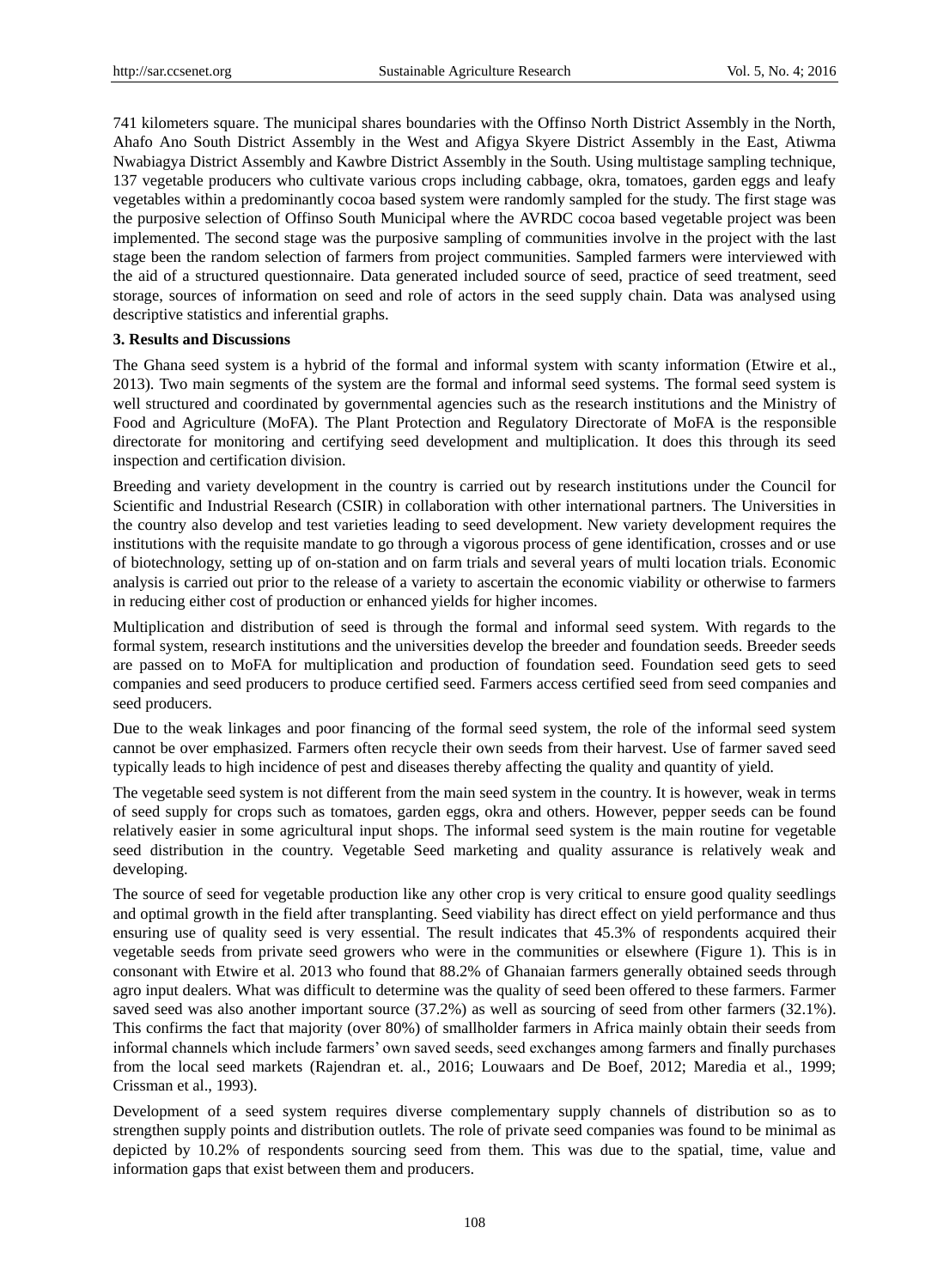741 kilometers square. The municipal shares boundaries with the Offinso North District Assembly in the North, Ahafo Ano South District Assembly in the West and Afigya Skyere District Assembly in the East, Atiwma Nwabiagya District Assembly and Kawbre District Assembly in the South. Using multistage sampling technique, 137 vegetable producers who cultivate various crops including cabbage, okra, tomatoes, garden eggs and leafy vegetables within a predominantly cocoa based system were randomly sampled for the study. The first stage was the purposive selection of Offinso South Municipal where the AVRDC cocoa based vegetable project was been implemented. The second stage was the purposive sampling of communities involve in the project with the last stage been the random selection of farmers from project communities. Sampled farmers were interviewed with the aid of a structured questionnaire. Data generated included source of seed, practice of seed treatment, seed storage, sources of information on seed and role of actors in the seed supply chain. Data was analysed using descriptive statistics and inferential graphs.

#### **3. Results and Discussions**

The Ghana seed system is a hybrid of the formal and informal system with scanty information (Etwire et al., 2013). Two main segments of the system are the formal and informal seed systems. The formal seed system is well structured and coordinated by governmental agencies such as the research institutions and the Ministry of Food and Agriculture (MoFA). The Plant Protection and Regulatory Directorate of MoFA is the responsible directorate for monitoring and certifying seed development and multiplication. It does this through its seed inspection and certification division.

Breeding and variety development in the country is carried out by research institutions under the Council for Scientific and Industrial Research (CSIR) in collaboration with other international partners. The Universities in the country also develop and test varieties leading to seed development. New variety development requires the institutions with the requisite mandate to go through a vigorous process of gene identification, crosses and or use of biotechnology, setting up of on-station and on farm trials and several years of multi location trials. Economic analysis is carried out prior to the release of a variety to ascertain the economic viability or otherwise to farmers in reducing either cost of production or enhanced yields for higher incomes.

Multiplication and distribution of seed is through the formal and informal seed system. With regards to the formal system, research institutions and the universities develop the breeder and foundation seeds. Breeder seeds are passed on to MoFA for multiplication and production of foundation seed. Foundation seed gets to seed companies and seed producers to produce certified seed. Farmers access certified seed from seed companies and seed producers.

Due to the weak linkages and poor financing of the formal seed system, the role of the informal seed system cannot be over emphasized. Farmers often recycle their own seeds from their harvest. Use of farmer saved seed typically leads to high incidence of pest and diseases thereby affecting the quality and quantity of yield.

The vegetable seed system is not different from the main seed system in the country. It is however, weak in terms of seed supply for crops such as tomatoes, garden eggs, okra and others. However, pepper seeds can be found relatively easier in some agricultural input shops. The informal seed system is the main routine for vegetable seed distribution in the country. Vegetable Seed marketing and quality assurance is relatively weak and developing.

The source of seed for vegetable production like any other crop is very critical to ensure good quality seedlings and optimal growth in the field after transplanting. Seed viability has direct effect on yield performance and thus ensuring use of quality seed is very essential. The result indicates that 45.3% of respondents acquired their vegetable seeds from private seed growers who were in the communities or elsewhere (Figure 1). This is in consonant with Etwire et al. 2013 who found that 88.2% of Ghanaian farmers generally obtained seeds through agro input dealers. What was difficult to determine was the quality of seed been offered to these farmers. Farmer saved seed was also another important source (37.2%) as well as sourcing of seed from other farmers (32.1%). This confirms the fact that majority (over 80%) of smallholder farmers in Africa mainly obtain their seeds from informal channels which include farmers' own saved seeds, seed exchanges among farmers and finally purchases from the local seed markets (Rajendran et. al., 2016; Louwaars and De Boef, 2012; Maredia et al., 1999; Crissman et al., 1993).

Development of a seed system requires diverse complementary supply channels of distribution so as to strengthen supply points and distribution outlets. The role of private seed companies was found to be minimal as depicted by 10.2% of respondents sourcing seed from them. This was due to the spatial, time, value and information gaps that exist between them and producers.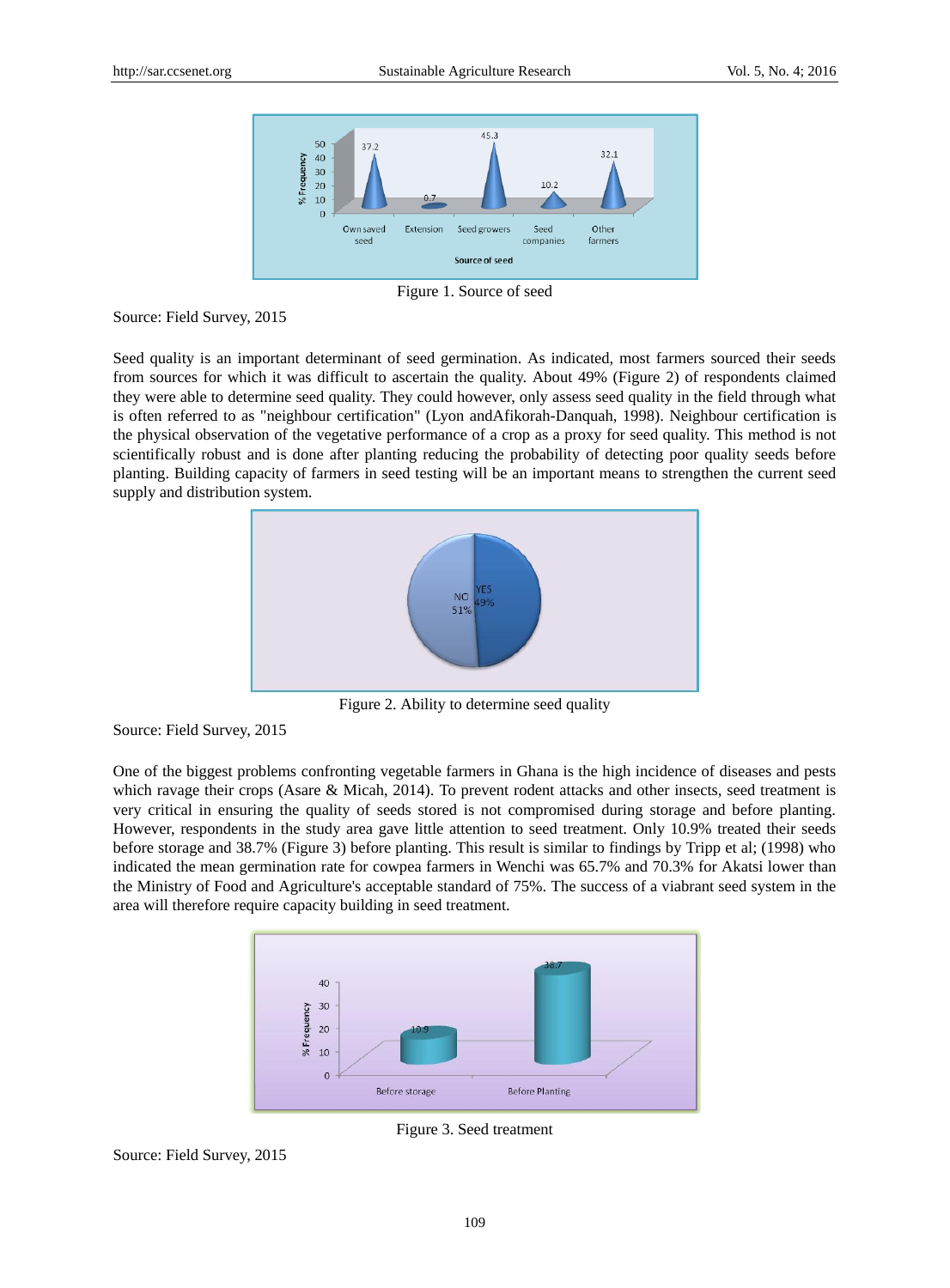

Figure 1. Source of seed

Source: Field Survey, 2015

Seed quality is an important determinant of seed germination. As indicated, most farmers sourced their seeds from sources for which it was difficult to ascertain the quality. About 49% (Figure 2) of respondents claimed they were able to determine seed quality. They could however, only assess seed quality in the field through what is often referred to as "neighbour certification" (Lyon andAfikorah-Danquah, 1998). Neighbour certification is the physical observation of the vegetative performance of a crop as a proxy for seed quality. This method is not scientifically robust and is done after planting reducing the probability of detecting poor quality seeds before planting. Building capacity of farmers in seed testing will be an important means to strengthen the current seed supply and distribution system.



Figure 2. Ability to determine seed quality

Source: Field Survey, 2015

One of the biggest problems confronting vegetable farmers in Ghana is the high incidence of diseases and pests which ravage their crops (Asare & Micah, 2014). To prevent rodent attacks and other insects, seed treatment is very critical in ensuring the quality of seeds stored is not compromised during storage and before planting. However, respondents in the study area gave little attention to seed treatment. Only 10.9% treated their seeds before storage and 38.7% (Figure 3) before planting. This result is similar to findings by Tripp et al; (1998) who indicated the mean germination rate for cowpea farmers in Wenchi was 65.7% and 70.3% for Akatsi lower than the Ministry of Food and Agriculture's acceptable standard of 75%. The success of a viabrant seed system in the area will therefore require capacity building in seed treatment.



Figure 3. Seed treatment

Source: Field Survey, 2015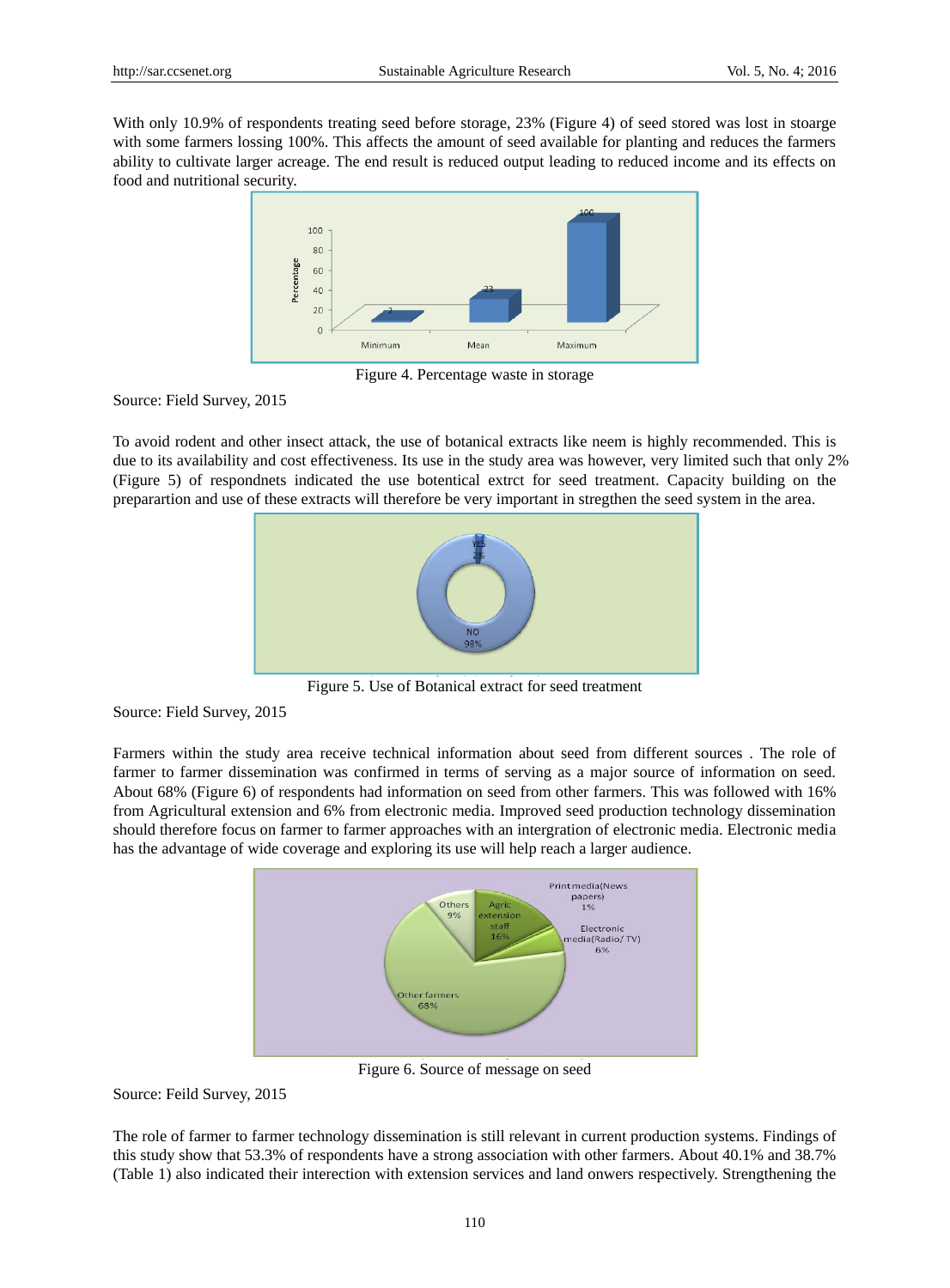With only 10.9% of respondents treating seed before storage, 23% (Figure 4) of seed stored was lost in stoarge with some farmers lossing 100%. This affects the amount of seed available for planting and reduces the farmers ability to cultivate larger acreage. The end result is reduced output leading to reduced income and its effects on food and nutritional security.



Figure 4. Percentage waste in storage

Source: Field Survey, 2015

To avoid rodent and other insect attack, the use of botanical extracts like neem is highly recommended. This is due to its availability and cost effectiveness. Its use in the study area was however, very limited such that only 2% (Figure 5) of respondnets indicated the use botentical extrct for seed treatment. Capacity building on the preparartion and use of these extracts will therefore be very important in stregthen the seed system in the area.



Figure 5. Use of Botanical extract for seed treatment

Source: Field Survey, 2015

Farmers within the study area receive technical information about seed from different sources . The role of farmer to farmer dissemination was confirmed in terms of serving as a major source of information on seed. About 68% (Figure 6) of respondents had information on seed from other farmers. This was followed with 16% from Agricultural extension and 6% from electronic media. Improved seed production technology dissemination should therefore focus on farmer to farmer approaches with an intergration of electronic media. Electronic media has the advantage of wide coverage and exploring its use will help reach a larger audience.



Figure 6. Source of message on seed

Source: Feild Survey, 2015

The role of farmer to farmer technology dissemination is still relevant in current production systems. Findings of this study show that 53.3% of respondents have a strong association with other farmers. About 40.1% and 38.7% (Table 1) also indicated their interection with extension services and land onwers respectively. Strengthening the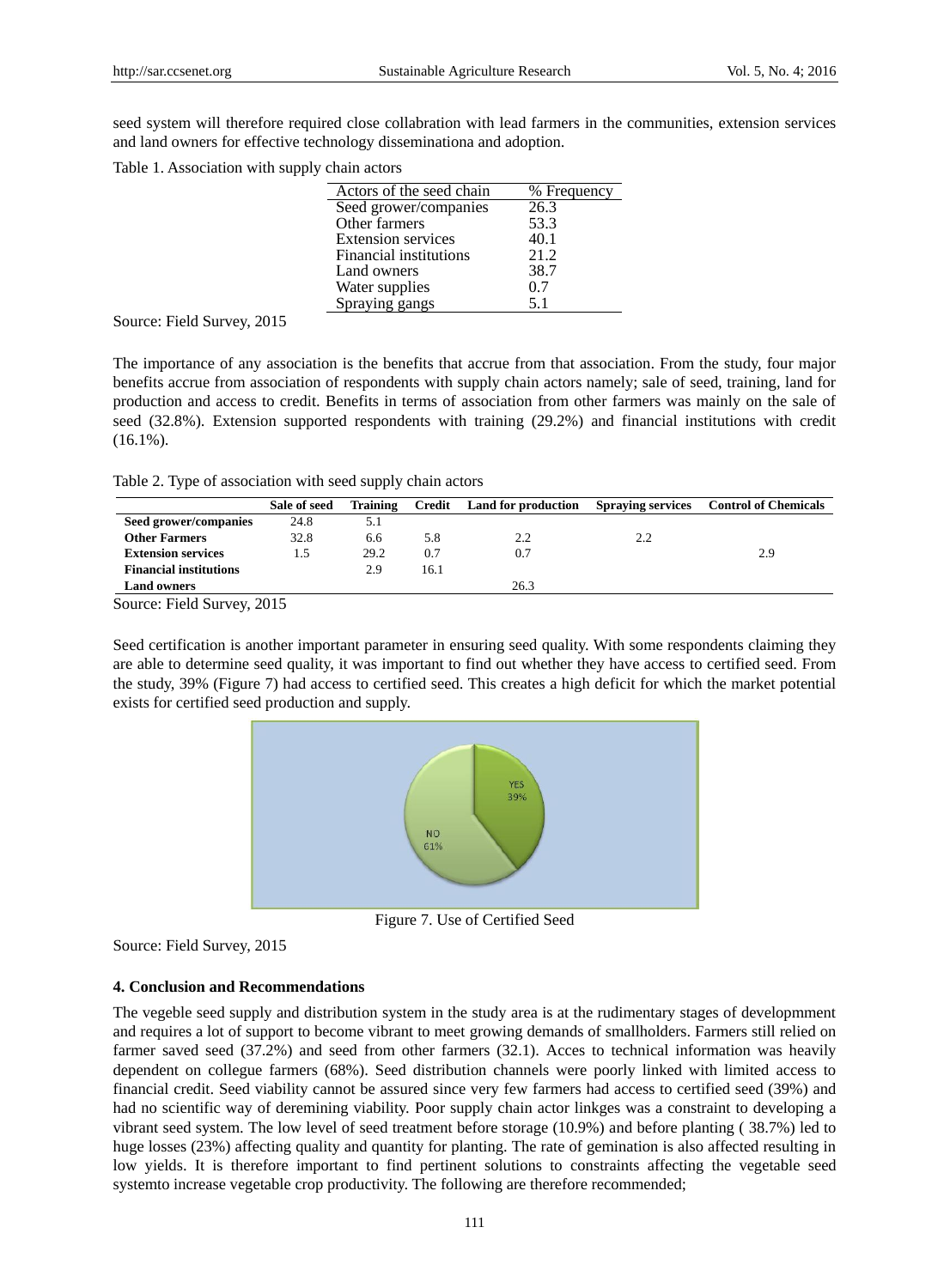seed system will therefore required close collabration with lead farmers in the communities, extension services and land owners for effective technology disseminationa and adoption.

Table 1. Association with supply chain actors

| Actors of the seed chain  | % Frequency |
|---------------------------|-------------|
| Seed grower/companies     | 26.3        |
| Other farmers             | 53.3        |
| <b>Extension services</b> | 40.1        |
| Financial institutions    | 21.2        |
| Land owners               | 38.7        |
| Water supplies            | 0.7         |
| Spraying gangs            | 5.1         |

Source: Field Survey, 2015

The importance of any association is the benefits that accrue from that association. From the study, four major benefits accrue from association of respondents with supply chain actors namely; sale of seed, training, land for production and access to credit. Benefits in terms of association from other farmers was mainly on the sale of seed (32.8%). Extension supported respondents with training (29.2%) and financial institutions with credit  $(16.1\%)$ .

Table 2. Type of association with seed supply chain actors

|                               | Sale of seed | <b>Training</b> |      | Credit Land for production | <b>Spraving services</b> | <b>Control of Chemicals</b> |
|-------------------------------|--------------|-----------------|------|----------------------------|--------------------------|-----------------------------|
| Seed grower/companies         | 24.8         | 5.1             |      |                            |                          |                             |
| <b>Other Farmers</b>          | 32.8         | 6.6             | 5.8  | 2.2                        | 2.2                      |                             |
| <b>Extension services</b>     |              | 29.2            | 0.7  | 0.7                        |                          | 2.9                         |
| <b>Financial institutions</b> |              | 2.9             | 16.1 |                            |                          |                             |
| <b>Land owners</b>            |              |                 |      | 26.3                       |                          |                             |

Source: Field Survey, 2015

Seed certification is another important parameter in ensuring seed quality. With some respondents claiming they are able to determine seed quality, it was important to find out whether they have access to certified seed. From the study, 39% (Figure 7) had access to certified seed. This creates a high deficit for which the market potential exists for certified seed production and supply.



Figure 7. Use of Certified Seed

Source: Field Survey, 2015

#### **4. Conclusion and Recommendations**

The vegeble seed supply and distribution system in the study area is at the rudimentary stages of developmment and requires a lot of support to become vibrant to meet growing demands of smallholders. Farmers still relied on farmer saved seed (37.2%) and seed from other farmers (32.1). Acces to technical information was heavily dependent on collegue farmers (68%). Seed distribution channels were poorly linked with limited access to financial credit. Seed viability cannot be assured since very few farmers had access to certified seed (39%) and had no scientific way of deremining viability. Poor supply chain actor linkges was a constraint to developing a vibrant seed system. The low level of seed treatment before storage (10.9%) and before planting ( 38.7%) led to huge losses (23%) affecting quality and quantity for planting. The rate of gemination is also affected resulting in low yields. It is therefore important to find pertinent solutions to constraints affecting the vegetable seed systemto increase vegetable crop productivity. The following are therefore recommended;